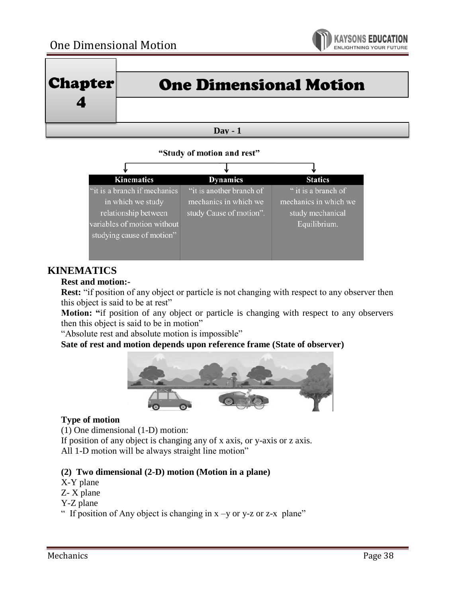

|                 | $ {\bf Chapter} $ | <b>One Dimensional Motion</b> |
|-----------------|-------------------|-------------------------------|
|                 |                   |                               |
| $\bf{D}$ av - 1 |                   |                               |

#### "Study of motion and rest"

| <b>Kinematics</b>                                                                                         | <b>Dynamics</b>                                                              | <b>Statics</b>                                                                   |
|-----------------------------------------------------------------------------------------------------------|------------------------------------------------------------------------------|----------------------------------------------------------------------------------|
| "it is a branch if mechanics"<br>in which we study<br>relationship between<br>variables of motion without | "it is another branch of<br>mechanics in which we<br>study Cause of motion". | " it is a branch of<br>mechanics in which we<br>study mechanical<br>Equilibrium. |
| studying cause of motion"                                                                                 |                                                                              |                                                                                  |

## **KINEMATICS**

### **Rest and motion:-**

**Rest:** "if position of any object or particle is not changing with respect to any observer then this object is said to be at rest"

**Motion: "**if position of any object or particle is changing with respect to any observers then this object is said to be in motion"

"Absolute rest and absolute motion is impossible"

**Sate of rest and motion depends upon reference frame (State of observer)**



### **Type of motion**

(1) One dimensional (1-D) motion:

If position of any object is changing any of x axis, or y-axis or z axis. All 1-D motion will be always straight line motion"

### **(2) Two dimensional (2-D) motion (Motion in a plane)**

- X-Y plane
- Z- X plane
- Y-Z plane
- " If position of Any object is changing in  $x -y$  or y-z or z-x plane"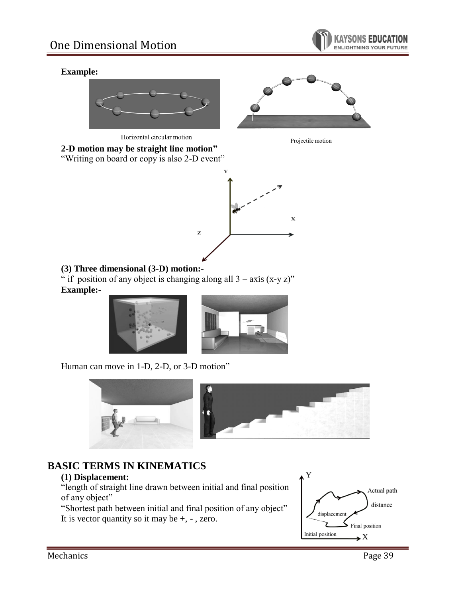

### **Example:**





Horizontal circular motion



**2-D motion may be straight line motion"** "Writing on board or copy is also 2-D event"



## **(3) Three dimensional (3-D) motion:-**

" if position of any object is changing along all  $3 - axis(x-yz)$ " **Example:-**





Human can move in 1-D, 2-D, or 3-D motion"





# **BASIC TERMS IN KINEMATICS**

### **(1) Displacement:**

"length of straight line drawn between initial and final position of any object"

"Shortest path between initial and final position of any object" It is vector quantity so it may be  $+$ ,  $-$ , zero.

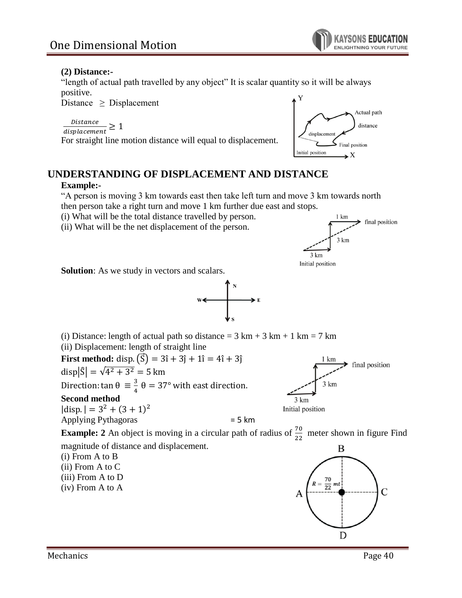

### **(2) Distance:-**

"length of actual path travelled by any object" It is scalar quantity so it will be always positive.

Distance  $\geq$  Displacement

Distance  $\frac{1}{\text{displacement}} \geq 1$ 

For straight line motion distance will equal to displacement.



# **UNDERSTANDING OF DISPLACEMENT AND DISTANCE**

### **Example:-**

"A person is moving 3 km towards east then take left turn and move 3 km towards north then person take a right turn and move 1 km further due east and stops.

(i) What will be the total distance travelled by person.

(ii) What will be the net displacement of the person.



**Solution**: As we study in vectors and scalars.



(i) Distance: length of actual path so distance =  $3 \text{ km} + 3 \text{ km} + 1 \text{ km} = 7 \text{ km}$ (ii) Displacement: length of straight line **First method:** disp.  $(\vec{S}) = 3\hat{i} + 3\hat{j} + 1\hat{i} = 4\hat{i} + 3\hat{j}$  $\blacktriangleright$  final position disp $|\hat{S}| = \sqrt{4^2 + 3^2} = 5$  km Direction: tan  $\theta = \frac{3}{4}$  $3 km$  $\frac{3}{4}$   $\theta = 37^{\circ}$  with east direction. **Second method** 3 km  $|disp.| = 3<sup>2</sup> + (3 + 1)<sup>2</sup>$ Initial position Applying Pythagoras  $= 5 \text{ km}$ **Example: 2** An object is moving in a circular path of radius of  $\frac{70}{22}$  meter shown in figure Find magnitude of distance and displacement. B (i) From A to B (ii) From A to C (iii) From A to D  $R = \frac{70}{22} m t$ (iv) From A to A  $\overline{C}$ D